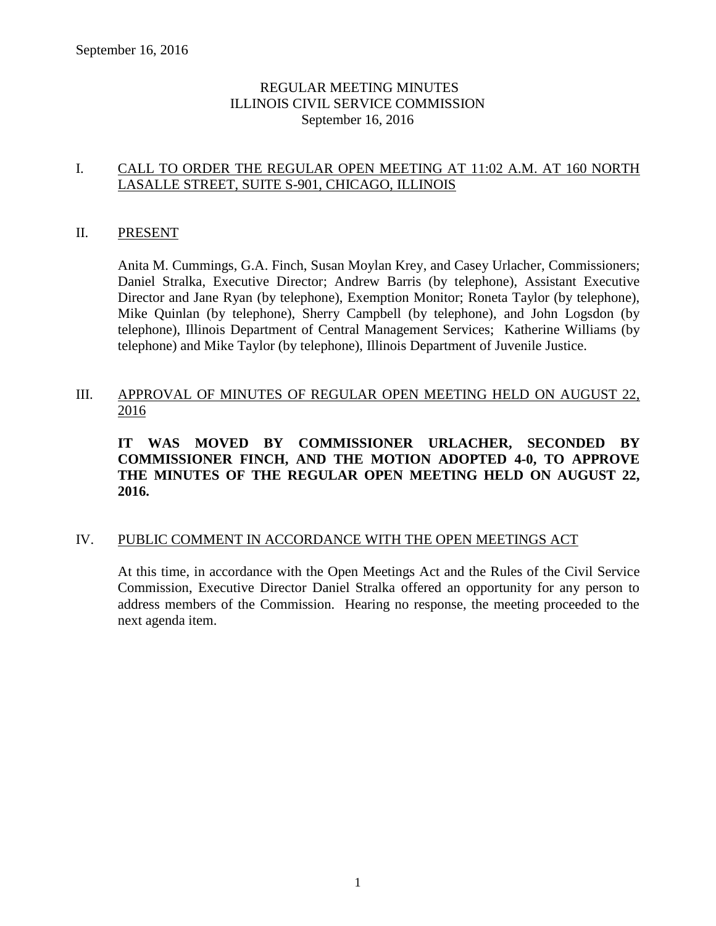# REGULAR MEETING MINUTES ILLINOIS CIVIL SERVICE COMMISSION September 16, 2016

# I. CALL TO ORDER THE REGULAR OPEN MEETING AT 11:02 A.M. AT 160 NORTH LASALLE STREET, SUITE S-901, CHICAGO, ILLINOIS

#### II. PRESENT

Anita M. Cummings, G.A. Finch, Susan Moylan Krey, and Casey Urlacher, Commissioners; Daniel Stralka, Executive Director; Andrew Barris (by telephone), Assistant Executive Director and Jane Ryan (by telephone), Exemption Monitor; Roneta Taylor (by telephone), Mike Quinlan (by telephone), Sherry Campbell (by telephone), and John Logsdon (by telephone), Illinois Department of Central Management Services; Katherine Williams (by telephone) and Mike Taylor (by telephone), Illinois Department of Juvenile Justice.

# III. APPROVAL OF MINUTES OF REGULAR OPEN MEETING HELD ON AUGUST 22, 2016

**IT WAS MOVED BY COMMISSIONER URLACHER, SECONDED BY COMMISSIONER FINCH, AND THE MOTION ADOPTED 4-0, TO APPROVE THE MINUTES OF THE REGULAR OPEN MEETING HELD ON AUGUST 22, 2016.**

#### IV. PUBLIC COMMENT IN ACCORDANCE WITH THE OPEN MEETINGS ACT

At this time, in accordance with the Open Meetings Act and the Rules of the Civil Service Commission, Executive Director Daniel Stralka offered an opportunity for any person to address members of the Commission. Hearing no response, the meeting proceeded to the next agenda item.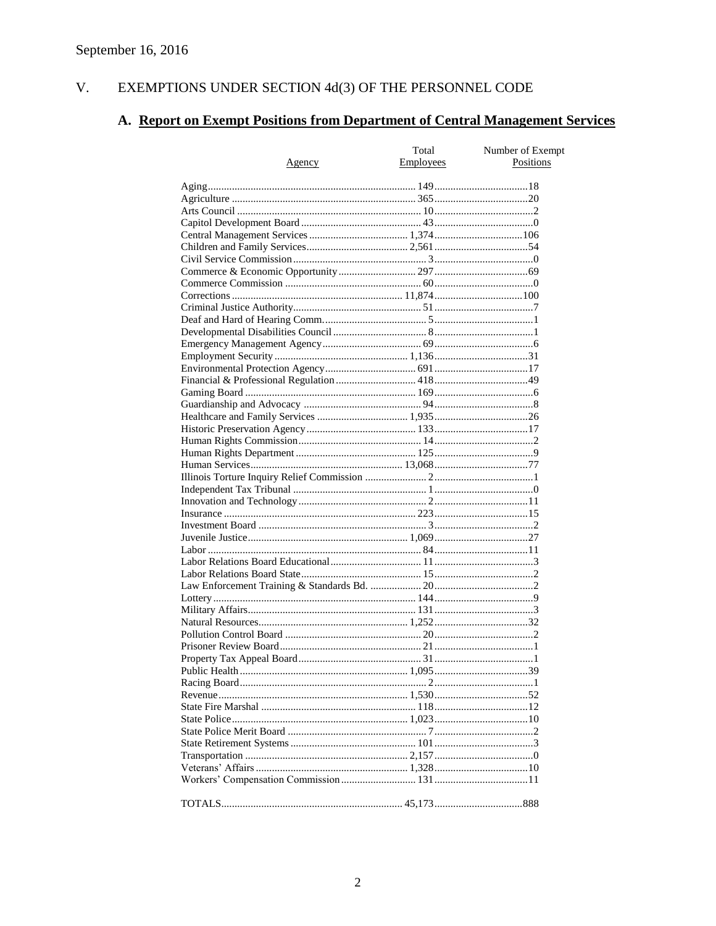#### $V<sub>r</sub>$ EXEMPTIONS UNDER SECTION  $4d(3)$  OF THE PERSONNEL CODE

# A. Report on Exempt Positions from Department of Central Management Services

| <u>Agency</u> | Total<br>Employees | Number of Exempt<br>Positions |
|---------------|--------------------|-------------------------------|
|               |                    |                               |
|               |                    |                               |
|               |                    |                               |
|               |                    |                               |
|               |                    |                               |
|               |                    |                               |
|               |                    |                               |
|               |                    |                               |
|               |                    |                               |
|               |                    |                               |
|               |                    |                               |
|               |                    |                               |
|               |                    |                               |
|               |                    |                               |
|               |                    |                               |
|               |                    |                               |
|               |                    |                               |
|               |                    |                               |
|               |                    |                               |
|               |                    |                               |
|               |                    |                               |
|               |                    |                               |
|               |                    |                               |
|               |                    |                               |
|               |                    |                               |
|               |                    |                               |
|               |                    |                               |
|               |                    |                               |
|               |                    |                               |
|               |                    |                               |
|               |                    |                               |
|               |                    |                               |
|               |                    |                               |
|               |                    |                               |
|               |                    |                               |
|               |                    |                               |
|               |                    |                               |
|               |                    |                               |
|               |                    |                               |
|               |                    |                               |
|               |                    |                               |
|               |                    |                               |
|               |                    |                               |
|               |                    |                               |
|               |                    |                               |
|               |                    |                               |
|               |                    |                               |
|               |                    |                               |
|               |                    |                               |
|               |                    |                               |
|               |                    |                               |
|               |                    |                               |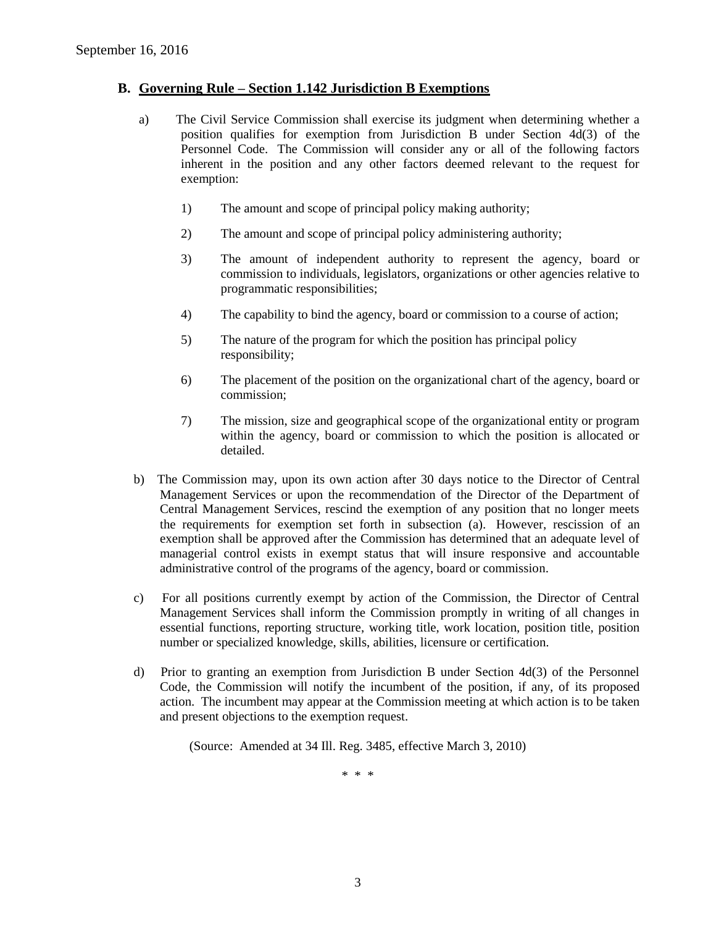#### **B. Governing Rule – Section 1.142 Jurisdiction B Exemptions**

- a) The Civil Service Commission shall exercise its judgment when determining whether a position qualifies for exemption from Jurisdiction B under Section 4d(3) of the Personnel Code. The Commission will consider any or all of the following factors inherent in the position and any other factors deemed relevant to the request for exemption:
	- 1) The amount and scope of principal policy making authority;
	- 2) The amount and scope of principal policy administering authority;
	- 3) The amount of independent authority to represent the agency, board or commission to individuals, legislators, organizations or other agencies relative to programmatic responsibilities;
	- 4) The capability to bind the agency, board or commission to a course of action;
	- 5) The nature of the program for which the position has principal policy responsibility;
	- 6) The placement of the position on the organizational chart of the agency, board or commission;
	- 7) The mission, size and geographical scope of the organizational entity or program within the agency, board or commission to which the position is allocated or detailed.
- b) The Commission may, upon its own action after 30 days notice to the Director of Central Management Services or upon the recommendation of the Director of the Department of Central Management Services, rescind the exemption of any position that no longer meets the requirements for exemption set forth in subsection (a). However, rescission of an exemption shall be approved after the Commission has determined that an adequate level of managerial control exists in exempt status that will insure responsive and accountable administrative control of the programs of the agency, board or commission.
- c) For all positions currently exempt by action of the Commission, the Director of Central Management Services shall inform the Commission promptly in writing of all changes in essential functions, reporting structure, working title, work location, position title, position number or specialized knowledge, skills, abilities, licensure or certification.
- d) Prior to granting an exemption from Jurisdiction B under Section 4d(3) of the Personnel Code, the Commission will notify the incumbent of the position, if any, of its proposed action. The incumbent may appear at the Commission meeting at which action is to be taken and present objections to the exemption request.

(Source: Amended at 34 Ill. Reg. 3485, effective March 3, 2010)

\* \* \*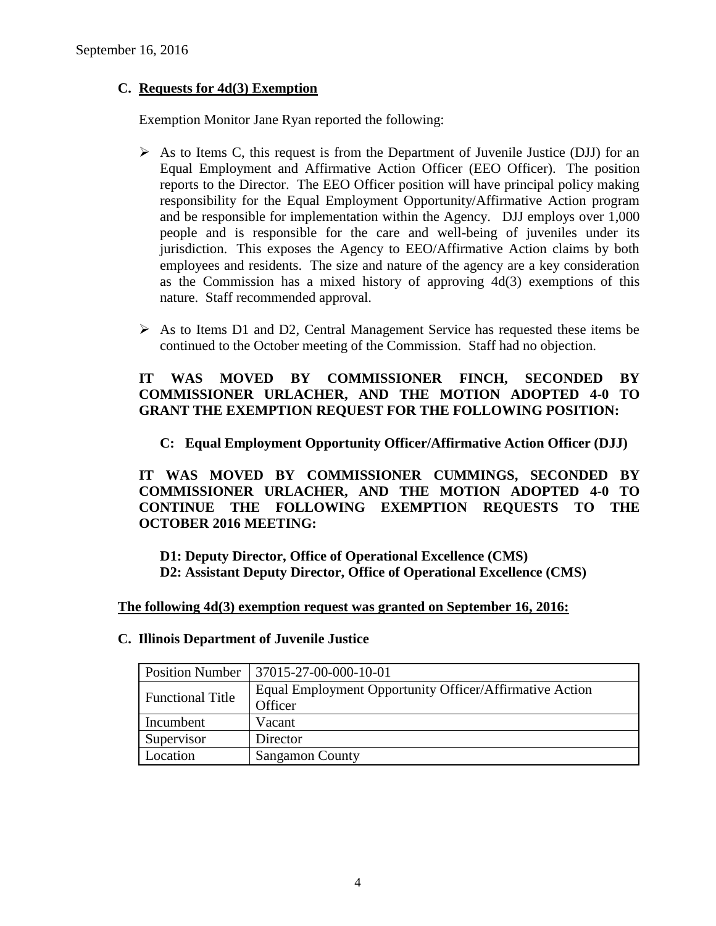# **C. Requests for 4d(3) Exemption**

Exemption Monitor Jane Ryan reported the following:

- $\triangleright$  As to Items C, this request is from the Department of Juvenile Justice (DJJ) for an Equal Employment and Affirmative Action Officer (EEO Officer). The position reports to the Director. The EEO Officer position will have principal policy making responsibility for the Equal Employment Opportunity/Affirmative Action program and be responsible for implementation within the Agency. DJJ employs over 1,000 people and is responsible for the care and well-being of juveniles under its jurisdiction. This exposes the Agency to EEO/Affirmative Action claims by both employees and residents. The size and nature of the agency are a key consideration as the Commission has a mixed history of approving 4d(3) exemptions of this nature. Staff recommended approval.
- $\triangleright$  As to Items D1 and D2, Central Management Service has requested these items be continued to the October meeting of the Commission. Staff had no objection.

# **IT WAS MOVED BY COMMISSIONER FINCH, SECONDED BY COMMISSIONER URLACHER, AND THE MOTION ADOPTED 4-0 TO GRANT THE EXEMPTION REQUEST FOR THE FOLLOWING POSITION:**

# **C: Equal Employment Opportunity Officer/Affirmative Action Officer (DJJ)**

**IT WAS MOVED BY COMMISSIONER CUMMINGS, SECONDED BY COMMISSIONER URLACHER, AND THE MOTION ADOPTED 4-0 TO CONTINUE THE FOLLOWING EXEMPTION REQUESTS TO THE OCTOBER 2016 MEETING:**

**D1: Deputy Director, Office of Operational Excellence (CMS) D2: Assistant Deputy Director, Office of Operational Excellence (CMS)**

#### **The following 4d(3) exemption request was granted on September 16, 2016:**

| <b>Position Number</b>  | $ 37015-27-00-000-10-01$                                |
|-------------------------|---------------------------------------------------------|
| <b>Functional Title</b> | Equal Employment Opportunity Officer/Affirmative Action |
|                         | Officer                                                 |
| Incumbent               | Vacant                                                  |
| Supervisor              | Director                                                |
| Location                | <b>Sangamon County</b>                                  |

#### **C. Illinois Department of Juvenile Justice**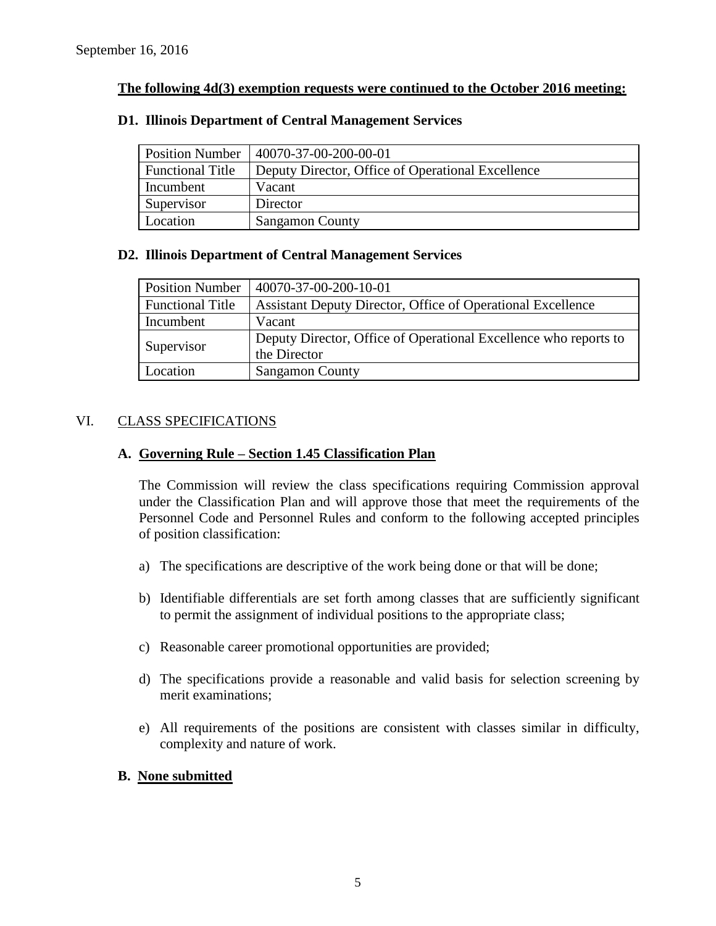## **The following 4d(3) exemption requests were continued to the October 2016 meeting:**

# **D1. Illinois Department of Central Management Services**

| <b>Position Number</b>  | 40070-37-00-200-00-01                             |
|-------------------------|---------------------------------------------------|
| <b>Functional Title</b> | Deputy Director, Office of Operational Excellence |
| Incumbent               | Vacant                                            |
| Supervisor              | Director                                          |
| Location                | <b>Sangamon County</b>                            |

#### **D2. Illinois Department of Central Management Services**

| <b>Position Number</b>  | 40070-37-00-200-10-01                                            |
|-------------------------|------------------------------------------------------------------|
| <b>Functional Title</b> | Assistant Deputy Director, Office of Operational Excellence      |
| Incumbent               | Vacant                                                           |
| Supervisor              | Deputy Director, Office of Operational Excellence who reports to |
|                         | the Director                                                     |
| Location                | <b>Sangamon County</b>                                           |

#### VI. CLASS SPECIFICATIONS

#### **A. Governing Rule – Section 1.45 Classification Plan**

The Commission will review the class specifications requiring Commission approval under the Classification Plan and will approve those that meet the requirements of the Personnel Code and Personnel Rules and conform to the following accepted principles of position classification:

- a) The specifications are descriptive of the work being done or that will be done;
- b) Identifiable differentials are set forth among classes that are sufficiently significant to permit the assignment of individual positions to the appropriate class;
- c) Reasonable career promotional opportunities are provided;
- d) The specifications provide a reasonable and valid basis for selection screening by merit examinations;
- e) All requirements of the positions are consistent with classes similar in difficulty, complexity and nature of work.

#### **B. None submitted**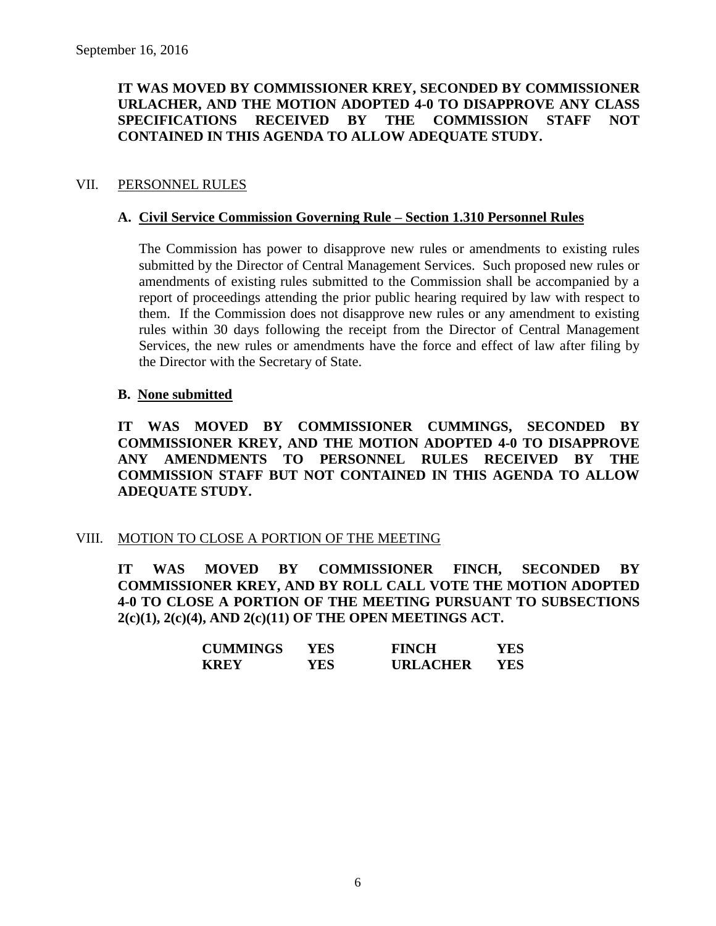# **IT WAS MOVED BY COMMISSIONER KREY, SECONDED BY COMMISSIONER URLACHER, AND THE MOTION ADOPTED 4-0 TO DISAPPROVE ANY CLASS SPECIFICATIONS RECEIVED BY THE COMMISSION STAFF NOT CONTAINED IN THIS AGENDA TO ALLOW ADEQUATE STUDY.**

## VII. PERSONNEL RULES

### **A. Civil Service Commission Governing Rule – Section 1.310 Personnel Rules**

The Commission has power to disapprove new rules or amendments to existing rules submitted by the Director of Central Management Services. Such proposed new rules or amendments of existing rules submitted to the Commission shall be accompanied by a report of proceedings attending the prior public hearing required by law with respect to them. If the Commission does not disapprove new rules or any amendment to existing rules within 30 days following the receipt from the Director of Central Management Services, the new rules or amendments have the force and effect of law after filing by the Director with the Secretary of State.

#### **B. None submitted**

**IT WAS MOVED BY COMMISSIONER CUMMINGS, SECONDED BY COMMISSIONER KREY, AND THE MOTION ADOPTED 4-0 TO DISAPPROVE ANY AMENDMENTS TO PERSONNEL RULES RECEIVED BY THE COMMISSION STAFF BUT NOT CONTAINED IN THIS AGENDA TO ALLOW ADEQUATE STUDY.** 

#### VIII. MOTION TO CLOSE A PORTION OF THE MEETING

**IT WAS MOVED BY COMMISSIONER FINCH, SECONDED BY COMMISSIONER KREY, AND BY ROLL CALL VOTE THE MOTION ADOPTED 4-0 TO CLOSE A PORTION OF THE MEETING PURSUANT TO SUBSECTIONS 2(c)(1), 2(c)(4), AND 2(c)(11) OF THE OPEN MEETINGS ACT.**

| <b>CUMMINGS</b> | YES | <b>FINCH</b>    | YES |
|-----------------|-----|-----------------|-----|
| <b>KREY</b>     | YES | <b>URLACHER</b> | YES |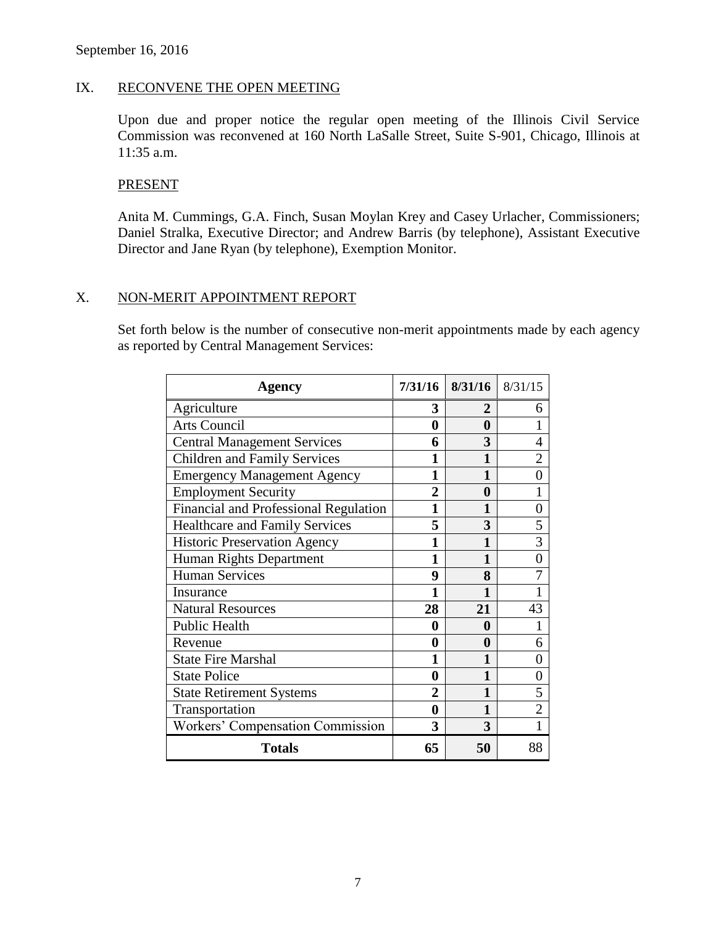## IX. RECONVENE THE OPEN MEETING

Upon due and proper notice the regular open meeting of the Illinois Civil Service Commission was reconvened at 160 North LaSalle Street, Suite S-901, Chicago, Illinois at 11:35 a.m.

#### PRESENT

Anita M. Cummings, G.A. Finch, Susan Moylan Krey and Casey Urlacher, Commissioners; Daniel Stralka, Executive Director; and Andrew Barris (by telephone), Assistant Executive Director and Jane Ryan (by telephone), Exemption Monitor.

#### X. NON-MERIT APPOINTMENT REPORT

Set forth below is the number of consecutive non-merit appointments made by each agency as reported by Central Management Services:

| <b>Agency</b>                                | 7/31/16        | 8/31/16 | 8/31/15        |
|----------------------------------------------|----------------|---------|----------------|
| Agriculture                                  | 3              | 2       | 6              |
| <b>Arts Council</b>                          | $\bf{0}$       | 0       |                |
| <b>Central Management Services</b>           | 6              | 3       | 4              |
| <b>Children and Family Services</b>          | 1              | 1       | 2              |
| <b>Emergency Management Agency</b>           | 1              |         | 0              |
| <b>Employment Security</b>                   | $\overline{2}$ | 0       |                |
| <b>Financial and Professional Regulation</b> | 1              | 1       | 0              |
| <b>Healthcare and Family Services</b>        | 5              | 3       | 5              |
| <b>Historic Preservation Agency</b>          | 1              | 1       | 3              |
| Human Rights Department                      | 1              | 1       | 0              |
| <b>Human Services</b>                        | 9              | 8       |                |
| Insurance                                    | 1              | 1       |                |
| <b>Natural Resources</b>                     | 28             | 21      | 43             |
| <b>Public Health</b>                         | 0              | 0       |                |
| Revenue                                      | 0              | 0       | 6              |
| <b>State Fire Marshal</b>                    | 1              |         | 0              |
| <b>State Police</b>                          | $\bf{0}$       | 1       | 0              |
| <b>State Retirement Systems</b>              | 2              | 1       | 5              |
| Transportation                               | 0              | 1       | $\overline{2}$ |
| Workers' Compensation Commission             | 3              | 3       |                |
| <b>Totals</b>                                | 65             | 50      | 88             |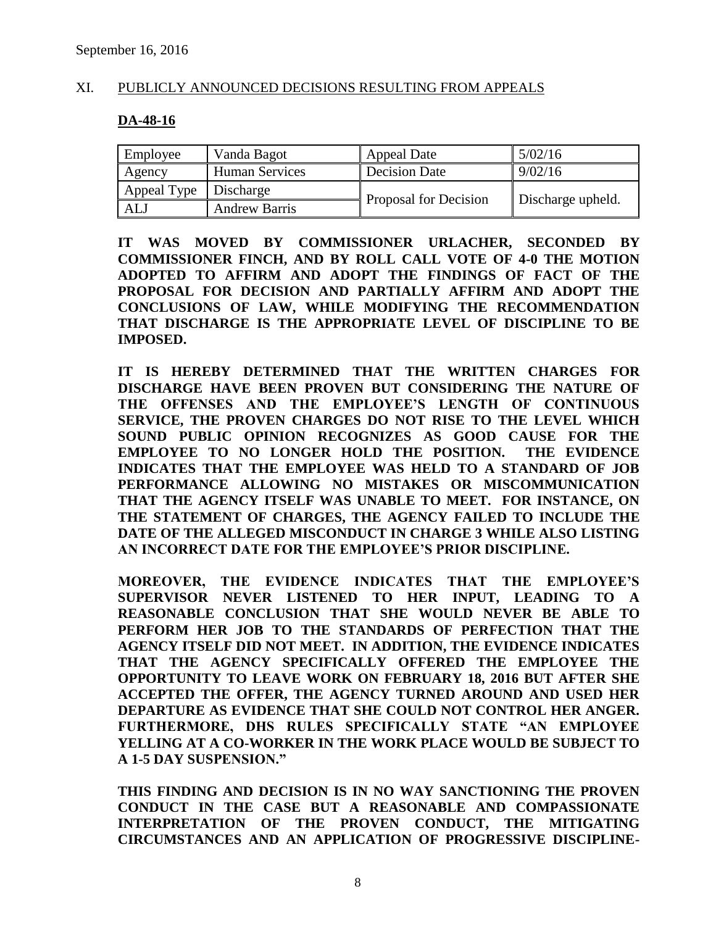# XI. PUBLICLY ANNOUNCED DECISIONS RESULTING FROM APPEALS

#### **DA-48-16**

| Employee                | Vanda Bagot           | <b>Appeal Date</b>    | 5/02/16           |
|-------------------------|-----------------------|-----------------------|-------------------|
| Agency                  | <b>Human Services</b> | <b>Decision Date</b>  | 9/02/16           |
| Appeal Type   Discharge |                       | Proposal for Decision |                   |
| ALJ                     | <b>Andrew Barris</b>  |                       | Discharge upheld. |

**IT WAS MOVED BY COMMISSIONER URLACHER, SECONDED BY COMMISSIONER FINCH, AND BY ROLL CALL VOTE OF 4-0 THE MOTION ADOPTED TO AFFIRM AND ADOPT THE FINDINGS OF FACT OF THE PROPOSAL FOR DECISION AND PARTIALLY AFFIRM AND ADOPT THE CONCLUSIONS OF LAW, WHILE MODIFYING THE RECOMMENDATION THAT DISCHARGE IS THE APPROPRIATE LEVEL OF DISCIPLINE TO BE IMPOSED.** 

**IT IS HEREBY DETERMINED THAT THE WRITTEN CHARGES FOR DISCHARGE HAVE BEEN PROVEN BUT CONSIDERING THE NATURE OF THE OFFENSES AND THE EMPLOYEE'S LENGTH OF CONTINUOUS SERVICE, THE PROVEN CHARGES DO NOT RISE TO THE LEVEL WHICH SOUND PUBLIC OPINION RECOGNIZES AS GOOD CAUSE FOR THE EMPLOYEE TO NO LONGER HOLD THE POSITION. THE EVIDENCE INDICATES THAT THE EMPLOYEE WAS HELD TO A STANDARD OF JOB PERFORMANCE ALLOWING NO MISTAKES OR MISCOMMUNICATION THAT THE AGENCY ITSELF WAS UNABLE TO MEET. FOR INSTANCE, ON THE STATEMENT OF CHARGES, THE AGENCY FAILED TO INCLUDE THE DATE OF THE ALLEGED MISCONDUCT IN CHARGE 3 WHILE ALSO LISTING AN INCORRECT DATE FOR THE EMPLOYEE'S PRIOR DISCIPLINE.** 

**MOREOVER, THE EVIDENCE INDICATES THAT THE EMPLOYEE'S SUPERVISOR NEVER LISTENED TO HER INPUT, LEADING TO A REASONABLE CONCLUSION THAT SHE WOULD NEVER BE ABLE TO PERFORM HER JOB TO THE STANDARDS OF PERFECTION THAT THE AGENCY ITSELF DID NOT MEET. IN ADDITION, THE EVIDENCE INDICATES THAT THE AGENCY SPECIFICALLY OFFERED THE EMPLOYEE THE OPPORTUNITY TO LEAVE WORK ON FEBRUARY 18, 2016 BUT AFTER SHE ACCEPTED THE OFFER, THE AGENCY TURNED AROUND AND USED HER DEPARTURE AS EVIDENCE THAT SHE COULD NOT CONTROL HER ANGER. FURTHERMORE, DHS RULES SPECIFICALLY STATE "AN EMPLOYEE YELLING AT A CO-WORKER IN THE WORK PLACE WOULD BE SUBJECT TO A 1-5 DAY SUSPENSION."** 

**THIS FINDING AND DECISION IS IN NO WAY SANCTIONING THE PROVEN CONDUCT IN THE CASE BUT A REASONABLE AND COMPASSIONATE INTERPRETATION OF THE PROVEN CONDUCT, THE MITIGATING CIRCUMSTANCES AND AN APPLICATION OF PROGRESSIVE DISCIPLINE-**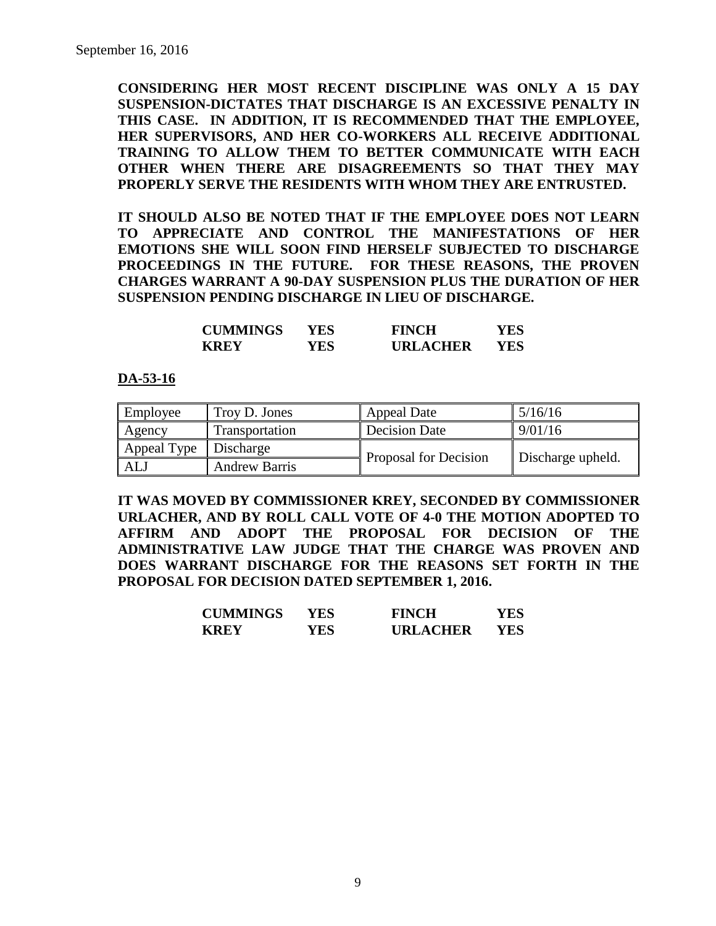**CONSIDERING HER MOST RECENT DISCIPLINE WAS ONLY A 15 DAY SUSPENSION-DICTATES THAT DISCHARGE IS AN EXCESSIVE PENALTY IN THIS CASE. IN ADDITION, IT IS RECOMMENDED THAT THE EMPLOYEE, HER SUPERVISORS, AND HER CO-WORKERS ALL RECEIVE ADDITIONAL TRAINING TO ALLOW THEM TO BETTER COMMUNICATE WITH EACH OTHER WHEN THERE ARE DISAGREEMENTS SO THAT THEY MAY PROPERLY SERVE THE RESIDENTS WITH WHOM THEY ARE ENTRUSTED.** 

**IT SHOULD ALSO BE NOTED THAT IF THE EMPLOYEE DOES NOT LEARN TO APPRECIATE AND CONTROL THE MANIFESTATIONS OF HER EMOTIONS SHE WILL SOON FIND HERSELF SUBJECTED TO DISCHARGE PROCEEDINGS IN THE FUTURE. FOR THESE REASONS, THE PROVEN CHARGES WARRANT A 90-DAY SUSPENSION PLUS THE DURATION OF HER SUSPENSION PENDING DISCHARGE IN LIEU OF DISCHARGE.**

| <b>CUMMINGS</b> | YES  | <b>FINCH</b>    | YES |
|-----------------|------|-----------------|-----|
| <b>KREY</b>     | YES. | <b>URLACHER</b> | YES |

#### **DA-53-16**

| Employee              | Troy D. Jones        | <b>Appeal Date</b>    | 5/16/16           |
|-----------------------|----------------------|-----------------------|-------------------|
| Agency                | Transportation       | <b>Decision Date</b>  | 9/01/16           |
| Appeal Type Discharge |                      | Proposal for Decision |                   |
| ALJ                   | <b>Andrew Barris</b> |                       | Discharge upheld. |

**IT WAS MOVED BY COMMISSIONER KREY, SECONDED BY COMMISSIONER URLACHER, AND BY ROLL CALL VOTE OF 4-0 THE MOTION ADOPTED TO AFFIRM AND ADOPT THE PROPOSAL FOR DECISION OF THE ADMINISTRATIVE LAW JUDGE THAT THE CHARGE WAS PROVEN AND DOES WARRANT DISCHARGE FOR THE REASONS SET FORTH IN THE PROPOSAL FOR DECISION DATED SEPTEMBER 1, 2016.**

| <b>CUMMINGS</b> | YES | <b>FINCH</b>    | YES |
|-----------------|-----|-----------------|-----|
| <b>KREY</b>     | YES | <b>URLACHER</b> | YES |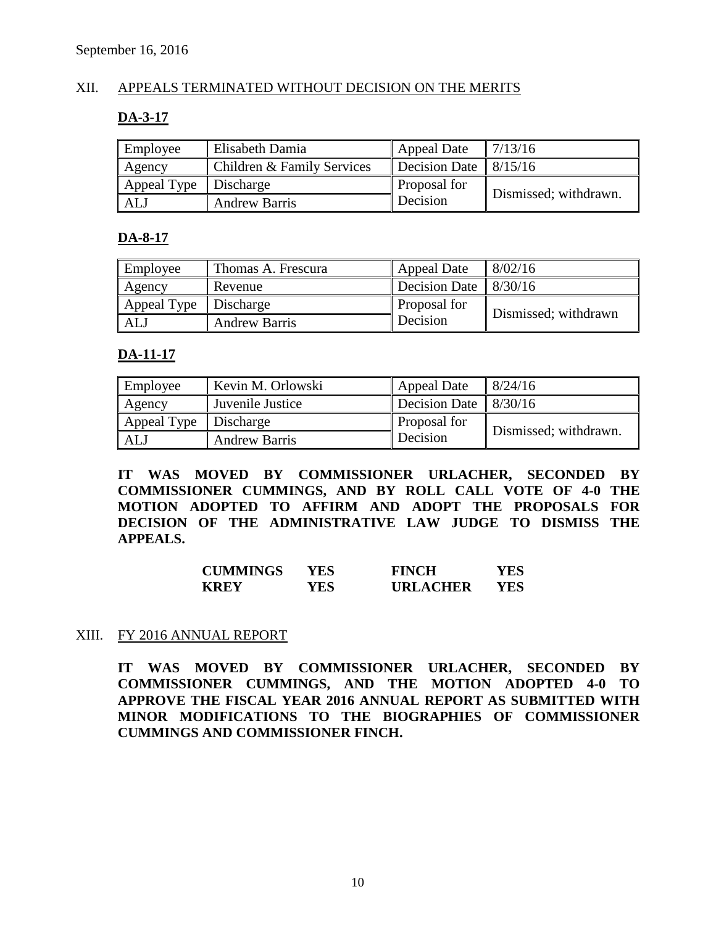# XII. APPEALS TERMINATED WITHOUT DECISION ON THE MERITS

#### **DA-3-17**

| Employee                | Elisabeth Damia            | <b>Appeal Date</b>               | 7/13/16               |
|-------------------------|----------------------------|----------------------------------|-----------------------|
| Agency                  | Children & Family Services | Decision Date $\frac{8}{15}{16}$ |                       |
| Appeal Type   Discharge |                            | Proposal for                     | Dismissed; withdrawn. |
| ALJ                     | <b>Andrew Barris</b>       | Decision                         |                       |

#### **DA-8-17**

| Employee                | Thomas A. Frescura   | <b>Appeal Date</b>   | 8/02/16              |
|-------------------------|----------------------|----------------------|----------------------|
| Agency                  | Revenue              | <b>Decision Date</b> | 8/30/16              |
| Appeal Type   Discharge |                      | Proposal for         | Dismissed; withdrawn |
| ALJ                     | <b>Andrew Barris</b> | Decision             |                      |

#### **DA-11-17**

| Employee                | Kevin M. Orlowski    | Appeal Date                     | 8/24/16               |  |
|-------------------------|----------------------|---------------------------------|-----------------------|--|
| Agency                  | Juvenile Justice     | Decision Date $\frac{8}{30/16}$ |                       |  |
| Appeal Type   Discharge |                      | Proposal for                    | Dismissed; withdrawn. |  |
| <b>ALJ</b>              | <b>Andrew Barris</b> | Decision                        |                       |  |

**IT WAS MOVED BY COMMISSIONER URLACHER, SECONDED BY COMMISSIONER CUMMINGS, AND BY ROLL CALL VOTE OF 4-0 THE MOTION ADOPTED TO AFFIRM AND ADOPT THE PROPOSALS FOR DECISION OF THE ADMINISTRATIVE LAW JUDGE TO DISMISS THE APPEALS.**

| <b>CUMMINGS</b> | YES. | <b>FINCH</b>    | YES |
|-----------------|------|-----------------|-----|
| <b>KREY</b>     | YES. | <b>URLACHER</b> | YES |

#### XIII. FY 2016 ANNUAL REPORT

**IT WAS MOVED BY COMMISSIONER URLACHER, SECONDED BY COMMISSIONER CUMMINGS, AND THE MOTION ADOPTED 4-0 TO APPROVE THE FISCAL YEAR 2016 ANNUAL REPORT AS SUBMITTED WITH MINOR MODIFICATIONS TO THE BIOGRAPHIES OF COMMISSIONER CUMMINGS AND COMMISSIONER FINCH.**